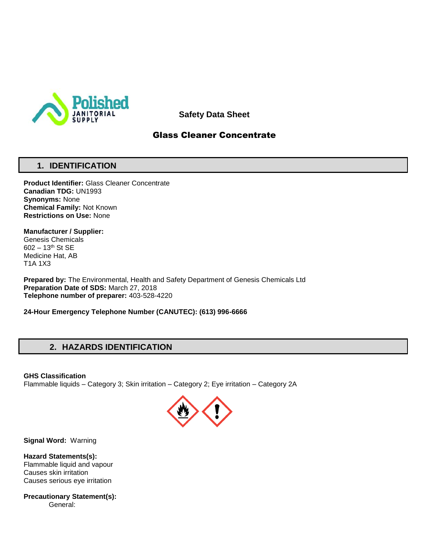

**Safety Data Sheet**

## Glass Cleaner Concentrate

## **1. IDENTIFICATION**

**Product Identifier:** Glass Cleaner Concentrate **Canadian TDG:** UN1993 **Synonyms:** None **Chemical Family:** Not Known **Restrictions on Use:** None

**Manufacturer / Supplier:** Genesis Chemicals 602 – 13th St SE Medicine Hat, AB

T1A 1X3

**Prepared by:** The Environmental, Health and Safety Department of Genesis Chemicals Ltd **Preparation Date of SDS:** March 27, 2018 **Telephone number of preparer:** 403-528-4220

**24-Hour Emergency Telephone Number (CANUTEC): (613) 996-6666**

## **2. HAZARDS IDENTIFICATION**

**GHS Classification**

Flammable liquids – Category 3; Skin irritation – Category 2; Eye irritation – Category 2A



**Signal Word:** Warning

**Hazard Statements(s):** Flammable liquid and vapour Causes skin irritation Causes serious eye irritation

**Precautionary Statement(s):** General: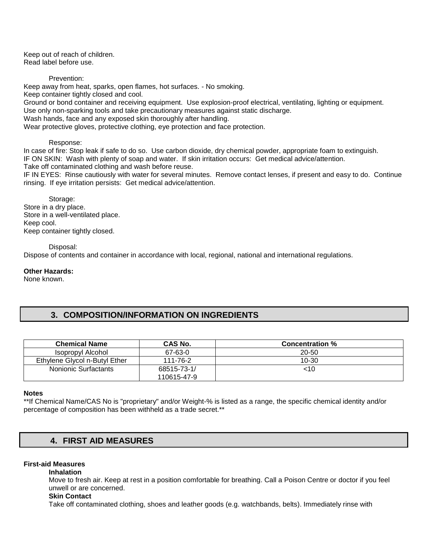Keep out of reach of children. Read label before use.

Prevention:

Keep away from heat, sparks, open flames, hot surfaces. - No smoking. Keep container tightly closed and cool. Ground or bond container and receiving equipment. Use explosion-proof electrical, ventilating, lighting or equipment. Use only non-sparking tools and take precautionary measures against static discharge. Wash hands, face and any exposed skin thoroughly after handling.

Wear protective gloves, protective clothing, eye protection and face protection.

#### Response:

In case of fire: Stop leak if safe to do so. Use carbon dioxide, dry chemical powder, appropriate foam to extinguish. IF ON SKIN: Wash with plenty of soap and water. If skin irritation occurs: Get medical advice/attention. Take off contaminated clothing and wash before reuse.

IF IN EYES: Rinse cautiously with water for several minutes. Remove contact lenses, if present and easy to do. Continue rinsing. If eye irritation persists: Get medical advice/attention.

Storage: Store in a dry place. Store in a well-ventilated place. Keep cool. Keep container tightly closed.

Disposal:

Dispose of contents and container in accordance with local, regional, national and international regulations.

#### **Other Hazards:**

None known.

## **3. COMPOSITION/INFORMATION ON INGREDIENTS**

| <b>Chemical Name</b>          | CAS No.                    | <b>Concentration %</b> |  |
|-------------------------------|----------------------------|------------------------|--|
| Isopropyl Alcohol             | 67-63-0                    | $20 - 50$              |  |
| Ethylene Givcol n-Butyl Ether | 111-76-2                   | $10 - 30$              |  |
| Nonionic Surfactants          | 68515-73-1/<br>110615-47-9 | <10                    |  |

#### **Notes**

\*\*If Chemical Name/CAS No is "proprietary" and/or Weight-% is listed as a range, the specific chemical identity and/or percentage of composition has been withheld as a trade secret.\*\*

## **4. FIRST AID MEASURES**

### **First-aid Measures**

**Inhalation** 

Move to fresh air. Keep at rest in a position comfortable for breathing. Call a Poison Centre or doctor if you feel unwell or are concerned.

#### **Skin Contact**

Take off contaminated clothing, shoes and leather goods (e.g. watchbands, belts). Immediately rinse with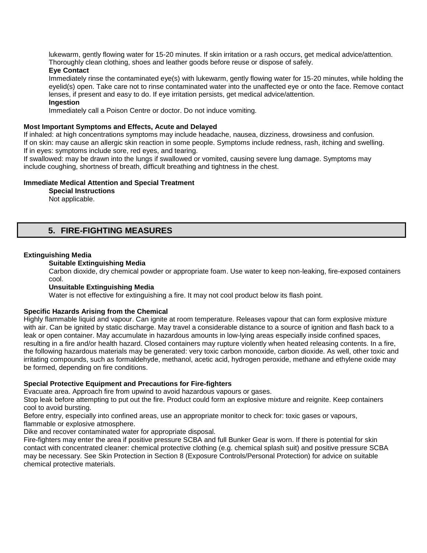lukewarm, gently flowing water for 15-20 minutes. If skin irritation or a rash occurs, get medical advice/attention. Thoroughly clean clothing, shoes and leather goods before reuse or dispose of safely.

## **Eye Contact**

Immediately rinse the contaminated eye(s) with lukewarm, gently flowing water for 15-20 minutes, while holding the eyelid(s) open. Take care not to rinse contaminated water into the unaffected eye or onto the face. Remove contact lenses, if present and easy to do. If eye irritation persists, get medical advice/attention.

## **Ingestion**

Immediately call a Poison Centre or doctor. Do not induce vomiting.

### **Most Important Symptoms and Effects, Acute and Delayed**

If inhaled: at high concentrations symptoms may include headache, nausea, dizziness, drowsiness and confusion. If on skin: may cause an allergic skin reaction in some people. Symptoms include redness, rash, itching and swelling. If in eyes: symptoms include sore, red eyes, and tearing.

If swallowed: may be drawn into the lungs if swallowed or vomited, causing severe lung damage. Symptoms may include coughing, shortness of breath, difficult breathing and tightness in the chest.

### **Immediate Medical Attention and Special Treatment**

**Special Instructions** 

Not applicable.

## **5. FIRE-FIGHTING MEASURES**

### **Extinguishing Media**

### **Suitable Extinguishing Media**

Carbon dioxide, dry chemical powder or appropriate foam. Use water to keep non-leaking, fire-exposed containers cool.

### **Unsuitable Extinguishing Media**

Water is not effective for extinguishing a fire. It may not cool product below its flash point.

### **Specific Hazards Arising from the Chemical**

Highly flammable liquid and vapour. Can ignite at room temperature. Releases vapour that can form explosive mixture with air. Can be ignited by static discharge. May travel a considerable distance to a source of ignition and flash back to a leak or open container. May accumulate in hazardous amounts in low-lying areas especially inside confined spaces, resulting in a fire and/or health hazard. Closed containers may rupture violently when heated releasing contents. In a fire, the following hazardous materials may be generated: very toxic carbon monoxide, carbon dioxide. As well, other toxic and irritating compounds, such as formaldehyde, methanol, acetic acid, hydrogen peroxide, methane and ethylene oxide may be formed, depending on fire conditions.

### **Special Protective Equipment and Precautions for Fire-fighters**

Evacuate area. Approach fire from upwind to avoid hazardous vapours or gases.

Stop leak before attempting to put out the fire. Product could form an explosive mixture and reignite. Keep containers cool to avoid bursting.

Before entry, especially into confined areas, use an appropriate monitor to check for: toxic gases or vapours, flammable or explosive atmosphere.

Dike and recover contaminated water for appropriate disposal.

Fire-fighters may enter the area if positive pressure SCBA and full Bunker Gear is worn. If there is potential for skin contact with concentrated cleaner: chemical protective clothing (e.g. chemical splash suit) and positive pressure SCBA may be necessary. See Skin Protection in Section 8 (Exposure Controls/Personal Protection) for advice on suitable chemical protective materials.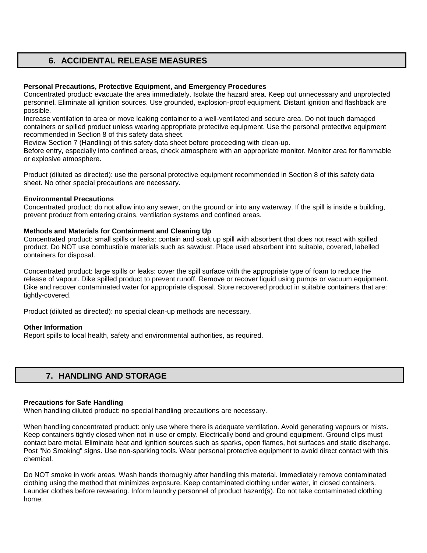## **6. ACCIDENTAL RELEASE MEASURES**

### **Personal Precautions, Protective Equipment, and Emergency Procedures**

Concentrated product: evacuate the area immediately. Isolate the hazard area. Keep out unnecessary and unprotected personnel. Eliminate all ignition sources. Use grounded, explosion-proof equipment. Distant ignition and flashback are possible.

Increase ventilation to area or move leaking container to a well-ventilated and secure area. Do not touch damaged containers or spilled product unless wearing appropriate protective equipment. Use the personal protective equipment recommended in Section 8 of this safety data sheet.

Review Section 7 (Handling) of this safety data sheet before proceeding with clean-up.

Before entry, especially into confined areas, check atmosphere with an appropriate monitor. Monitor area for flammable or explosive atmosphere.

Product (diluted as directed): use the personal protective equipment recommended in Section 8 of this safety data sheet. No other special precautions are necessary.

### **Environmental Precautions**

Concentrated product: do not allow into any sewer, on the ground or into any waterway. If the spill is inside a building, prevent product from entering drains, ventilation systems and confined areas.

### **Methods and Materials for Containment and Cleaning Up**

Concentrated product: small spills or leaks: contain and soak up spill with absorbent that does not react with spilled product. Do NOT use combustible materials such as sawdust. Place used absorbent into suitable, covered, labelled containers for disposal.

Concentrated product: large spills or leaks: cover the spill surface with the appropriate type of foam to reduce the release of vapour. Dike spilled product to prevent runoff. Remove or recover liquid using pumps or vacuum equipment. Dike and recover contaminated water for appropriate disposal. Store recovered product in suitable containers that are: tightly-covered.

Product (diluted as directed): no special clean-up methods are necessary.

### **Other Information**

Report spills to local health, safety and environmental authorities, as required.

## **7. HANDLING AND STORAGE**

#### **Precautions for Safe Handling**

When handling diluted product: no special handling precautions are necessary.

When handling concentrated product: only use where there is adequate ventilation. Avoid generating vapours or mists. Keep containers tightly closed when not in use or empty. Electrically bond and ground equipment. Ground clips must contact bare metal. Eliminate heat and ignition sources such as sparks, open flames, hot surfaces and static discharge. Post "No Smoking" signs. Use non-sparking tools. Wear personal protective equipment to avoid direct contact with this chemical.

Do NOT smoke in work areas. Wash hands thoroughly after handling this material. Immediately remove contaminated clothing using the method that minimizes exposure. Keep contaminated clothing under water, in closed containers. Launder clothes before rewearing. Inform laundry personnel of product hazard(s). Do not take contaminated clothing home.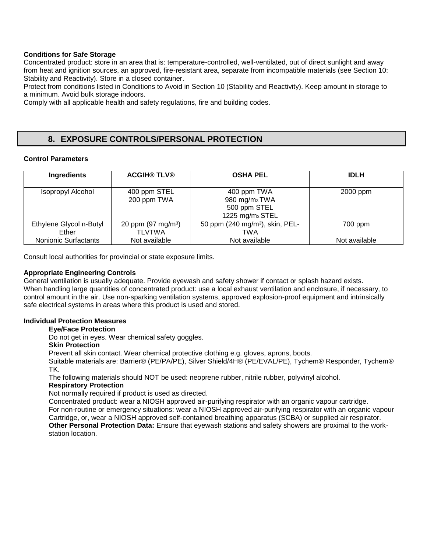### **Conditions for Safe Storage**

Concentrated product: store in an area that is: temperature-controlled, well-ventilated, out of direct sunlight and away from heat and ignition sources, an approved, fire-resistant area, separate from incompatible materials (see Section 10: Stability and Reactivity). Store in a closed container.

Protect from conditions listed in Conditions to Avoid in Section 10 (Stability and Reactivity). Keep amount in storage to a minimum. Avoid bulk storage indoors.

Comply with all applicable health and safety regulations, fire and building codes.

## **8. EXPOSURE CONTROLS/PERSONAL PROTECTION**

### **Control Parameters**

| <b>Ingredients</b>               | <b>ACGIH® TLV®</b>                            | <b>OSHA PEL</b>                                                                         | <b>IDLH</b>   |
|----------------------------------|-----------------------------------------------|-----------------------------------------------------------------------------------------|---------------|
| Isopropyl Alcohol                | 400 ppm STEL<br>200 ppm TWA                   | 400 ppm TWA<br>980 mg/m <sub>3</sub> TWA<br>500 ppm STEL<br>1225 mg/m <sub>3</sub> STEL | 2000 ppm      |
| Ethylene Glycol n-Butyl<br>Ether | 20 ppm $(97 \text{ mg/m}^3)$<br><b>TLVTWA</b> | 50 ppm (240 mg/m <sup>3</sup> ), skin, PEL-<br>TWA                                      | 700 ppm       |
| <b>Nonionic Surfactants</b>      | Not available                                 | Not available                                                                           | Not available |

Consult local authorities for provincial or state exposure limits.

### **Appropriate Engineering Controls**

General ventilation is usually adequate. Provide eyewash and safety shower if contact or splash hazard exists. When handling large quantities of concentrated product: use a local exhaust ventilation and enclosure, if necessary, to control amount in the air. Use non-sparking ventilation systems, approved explosion-proof equipment and intrinsically safe electrical systems in areas where this product is used and stored.

### **Individual Protection Measures**

### **Eye/Face Protection**

Do not get in eyes. Wear chemical safety goggles.

### **Skin Protection**

Prevent all skin contact. Wear chemical protective clothing e.g. gloves, aprons, boots.

Suitable materials are: Barrier® (PE/PA/PE), Silver Shield/4H® (PE/EVAL/PE), Tychem® Responder, Tychem® TK.

The following materials should NOT be used: neoprene rubber, nitrile rubber, polyvinyl alcohol.

### **Respiratory Protection**

Not normally required if product is used as directed.

Concentrated product: wear a NIOSH approved air-purifying respirator with an organic vapour cartridge. For non-routine or emergency situations: wear a NIOSH approved air-purifying respirator with an organic vapour Cartridge, or, wear a NIOSH approved self-contained breathing apparatus (SCBA) or supplied air respirator. **Other Personal Protection Data:** Ensure that eyewash stations and safety showers are proximal to the workstation location.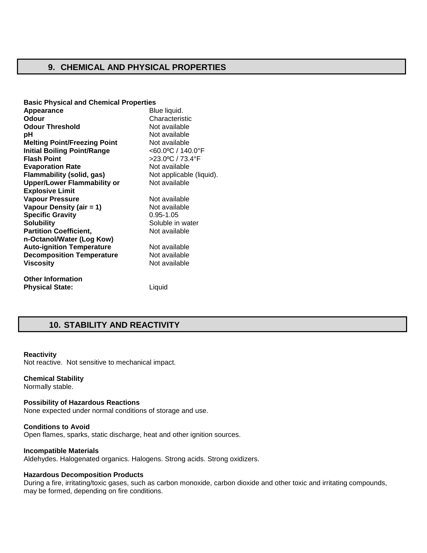## **9. CHEMICAL AND PHYSICAL PROPERTIES**

| <b>Basic Physical and Chemical Properties</b> |                          |
|-----------------------------------------------|--------------------------|
| Appearance                                    | Blue liquid.             |
| Odour                                         | Characteristic           |
| <b>Odour Threshold</b>                        | Not available            |
| рH                                            | Not available            |
| <b>Melting Point/Freezing Point</b>           | Not available            |
| <b>Initial Boiling Point/Range</b>            | <60.0°C / 140.0°F        |
| <b>Flash Point</b>                            | >23.0°C / 73.4°F         |
| <b>Evaporation Rate</b>                       | Not available            |
| <b>Flammability (solid, gas)</b>              | Not applicable (liquid). |
| <b>Upper/Lower Flammability or</b>            | Not available            |
| <b>Explosive Limit</b>                        |                          |
| <b>Vapour Pressure</b>                        | Not available            |
| Vapour Density (air = 1)                      | Not available            |
| <b>Specific Gravity</b>                       | $0.95 - 1.05$            |
| <b>Solubility</b>                             | Soluble in water         |
| <b>Partition Coefficient,</b>                 | Not available            |
| n-Octanol/Water (Log Kow)                     |                          |
| <b>Auto-ignition Temperature</b>              | Not available            |
| <b>Decomposition Temperature</b>              | Not available            |
| <b>Viscosity</b>                              | Not available            |
| <b>Other Information</b>                      |                          |
| <b>Physical State:</b>                        | Liquid                   |

## **10. STABILITY AND REACTIVITY**

#### **Reactivity**

Not reactive. Not sensitive to mechanical impact.

#### **Chemical Stability**

Normally stable.

### **Possibility of Hazardous Reactions**

None expected under normal conditions of storage and use.

### **Conditions to Avoid**

Open flames, sparks, static discharge, heat and other ignition sources.

### **Incompatible Materials**

Aldehydes. Halogenated organics. Halogens. Strong acids. Strong oxidizers.

#### **Hazardous Decomposition Products**

During a fire, irritating/toxic gases, such as carbon monoxide, carbon dioxide and other toxic and irritating compounds, may be formed, depending on fire conditions.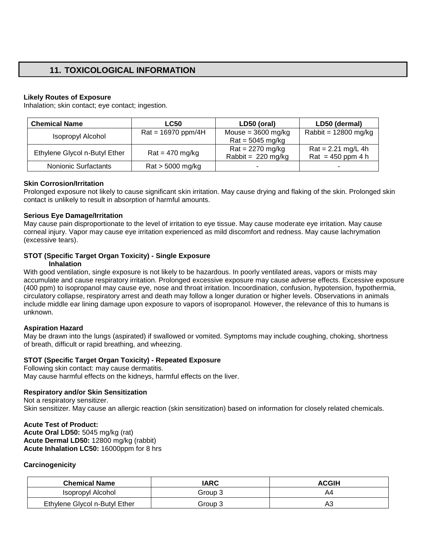# **11. TOXICOLOGICAL INFORMATION**

### **Likely Routes of Exposure**

Inhalation; skin contact; eye contact; ingestion.

| <b>Chemical Name</b>          | <b>LC50</b>          | LD50 (oral)                  | LD50 (dermal)                               |
|-------------------------------|----------------------|------------------------------|---------------------------------------------|
| Isopropyl Alcohol             | $Rat = 16970$ ppm/4H | Mouse = $3600$ mg/kg         | Rabbit = $12800$ mg/kg                      |
|                               |                      | $Rat = 5045$ mg/kg           |                                             |
| Ethylene Glycol n-Butyl Ether | $Rat = 470$ mg/kg    | $Rat = 2270$ mg/kg           | $Rat = 2.21$ mg/L 4h                        |
|                               |                      | Rabbit = $220 \text{ mg/kg}$ | $\text{Rat} = 450 \text{ ppm } 4 \text{ h}$ |
| Nonionic Surfactants          | $Rat > 5000$ mg/kg   |                              |                                             |

### **Skin Corrosion/Irritation**

Prolonged exposure not likely to cause significant skin irritation. May cause drying and flaking of the skin. Prolonged skin contact is unlikely to result in absorption of harmful amounts.

### **Serious Eye Damage/Irritation**

May cause pain disproportionate to the level of irritation to eye tissue. May cause moderate eye irritation. May cause corneal injury. Vapor may cause eye irritation experienced as mild discomfort and redness. May cause lachrymation (excessive tears).

## **STOT (Specific Target Organ Toxicity) - Single Exposure**

### **Inhalation**

With good ventilation, single exposure is not likely to be hazardous. In poorly ventilated areas, vapors or mists may accumulate and cause respiratory irritation. Prolonged excessive exposure may cause adverse effects. Excessive exposure (400 ppm) to isopropanol may cause eye, nose and throat irritation. Incoordination, confusion, hypotension, hypothermia, circulatory collapse, respiratory arrest and death may follow a longer duration or higher levels. Observations in animals include middle ear lining damage upon exposure to vapors of isopropanol. However, the relevance of this to humans is unknown.

### **Aspiration Hazard**

May be drawn into the lungs (aspirated) if swallowed or vomited. Symptoms may include coughing, choking, shortness of breath, difficult or rapid breathing, and wheezing.

### **STOT (Specific Target Organ Toxicity) - Repeated Exposure**

Following skin contact: may cause dermatitis. May cause harmful effects on the kidneys, harmful effects on the liver.

### **Respiratory and/or Skin Sensitization**

Not a respiratory sensitizer. Skin sensitizer. May cause an allergic reaction (skin sensitization) based on information for closely related chemicals.

# **Acute Test of Product:**

**Acute Oral LD50:** 5045 mg/kg (rat) **Acute Dermal LD50:** 12800 mg/kg (rabbit) **Acute Inhalation LC50:** 16000ppm for 8 hrs

### **Carcinogenicity**

| <b>Chemical Name</b>          | IARC    | <b>ACGIH</b> |
|-------------------------------|---------|--------------|
| Isopropyl Alcohol             | Group 3 | A4           |
| Ethylene Glycol n-Butyl Ether | Group 3 | Α3           |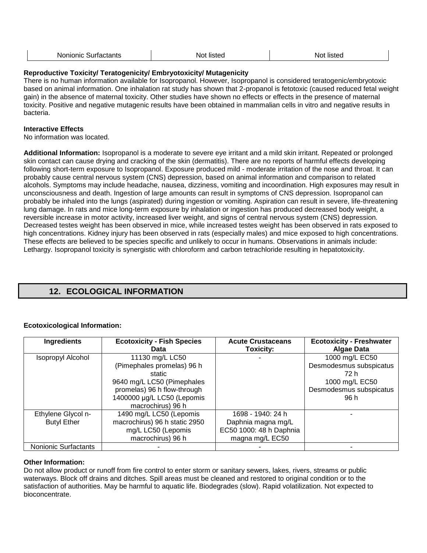| Νú<br> | NΩ<br> | ו או |
|--------|--------|------|
|        |        |      |

### **Reproductive Toxicity/ Teratogenicity/ Embryotoxicity/ Mutagenicity**

There is no human information available for Isopropanol. However, Isopropanol is considered teratogenic/embryotoxic based on animal information. One inhalation rat study has shown that 2-propanol is fetotoxic (caused reduced fetal weight gain) in the absence of maternal toxicity. Other studies have shown no effects or effects in the presence of maternal toxicity. Positive and negative mutagenic results have been obtained in mammalian cells in vitro and negative results in bacteria.

### **Interactive Effects**

No information was located.

**Additional Information:** Isopropanol is a moderate to severe eye irritant and a mild skin irritant. Repeated or prolonged skin contact can cause drying and cracking of the skin (dermatitis). There are no reports of harmful effects developing following short-term exposure to Isopropanol. Exposure produced mild - moderate irritation of the nose and throat. It can probably cause central nervous system (CNS) depression, based on animal information and comparison to related alcohols. Symptoms may include headache, nausea, dizziness, vomiting and incoordination. High exposures may result in unconsciousness and death. Ingestion of large amounts can result in symptoms of CNS depression. Isopropanol can probably be inhaled into the lungs (aspirated) during ingestion or vomiting. Aspiration can result in severe, life-threatening lung damage. In rats and mice long-term exposure by inhalation or ingestion has produced decreased body weight, a reversible increase in motor activity, increased liver weight, and signs of central nervous system (CNS) depression. Decreased testes weight has been observed in mice, while increased testes weight has been observed in rats exposed to high concentrations. Kidney injury has been observed in rats (especially males) and mice exposed to high concentrations. These effects are believed to be species specific and unlikely to occur in humans. Observations in animals include: Lethargy. Isopropanol toxicity is synergistic with chloroform and carbon tetrachloride resulting in hepatotoxicity.

# **12. ECOLOGICAL INFORMATION**

### **Ecotoxicological Information:**

| Ingredients          | <b>Ecotoxicity - Fish Species</b><br>Data     | <b>Acute Crustaceans</b><br>Toxicity: | <b>Ecotoxicity - Freshwater</b><br><b>Algae Data</b> |
|----------------------|-----------------------------------------------|---------------------------------------|------------------------------------------------------|
| Isopropyl Alcohol    | 11130 mg/L LC50<br>(Pimephales promelas) 96 h |                                       | 1000 mg/L EC50<br>Desmodesmus subspicatus            |
|                      | static                                        |                                       | 72 h                                                 |
|                      | 9640 mg/L LC50 (Pimephales                    |                                       | 1000 mg/L EC50                                       |
|                      | promelas) 96 h flow-through                   |                                       | Desmodesmus subspicatus                              |
|                      | 1400000 µg/L LC50 (Lepomis                    |                                       | 96 h                                                 |
|                      | macrochirus) 96 h                             |                                       |                                                      |
| Ethylene Glycol n-   | 1490 mg/L LC50 (Lepomis                       | 1698 - 1940: 24 h                     |                                                      |
| <b>Butyl Ether</b>   | macrochirus) 96 h static 2950                 | Daphnia magna mg/L                    |                                                      |
|                      | mg/L LC50 (Lepomis                            | EC50 1000: 48 h Daphnia               |                                                      |
|                      | macrochirus) 96 h                             | magna mg/L EC50                       |                                                      |
| Nonionic Surfactants |                                               |                                       |                                                      |

### **Other Information:**

Do not allow product or runoff from fire control to enter storm or sanitary sewers, lakes, rivers, streams or public waterways. Block off drains and ditches. Spill areas must be cleaned and restored to original condition or to the satisfaction of authorities. May be harmful to aquatic life. Biodegrades (slow). Rapid volatilization. Not expected to bioconcentrate.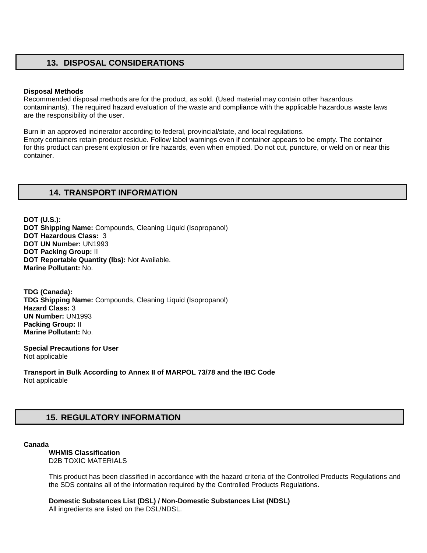## **13. DISPOSAL CONSIDERATIONS**

#### **Disposal Methods**

Recommended disposal methods are for the product, as sold. (Used material may contain other hazardous contaminants). The required hazard evaluation of the waste and compliance with the applicable hazardous waste laws are the responsibility of the user.

Burn in an approved incinerator according to federal, provincial/state, and local regulations. Empty containers retain product residue. Follow label warnings even if container appears to be empty. The container for this product can present explosion or fire hazards, even when emptied. Do not cut, puncture, or weld on or near this container.

## **14. TRANSPORT INFORMATION**

**DOT (U.S.): DOT Shipping Name:** Compounds, Cleaning Liquid (Isopropanol) **DOT Hazardous Class:** 3 **DOT UN Number:** UN1993 **DOT Packing Group:** II **DOT Reportable Quantity (lbs):** Not Available. **Marine Pollutant:** No.

**TDG (Canada): TDG Shipping Name:** Compounds, Cleaning Liquid (Isopropanol) **Hazard Class:** 3 **UN Number:** UN1993 **Packing Group:** II **Marine Pollutant:** No.

**Special Precautions for User** Not applicable

**Transport in Bulk According to Annex II of MARPOL 73/78 and the IBC Code**  Not applicable

# **15. REGULATORY INFORMATION**

#### **Canada**

**WHMIS Classification**  D2B TOXIC MATERIALS

This product has been classified in accordance with the hazard criteria of the Controlled Products Regulations and the SDS contains all of the information required by the Controlled Products Regulations.

**Domestic Substances List (DSL) / Non-Domestic Substances List (NDSL)**  All ingredients are listed on the DSL/NDSL.